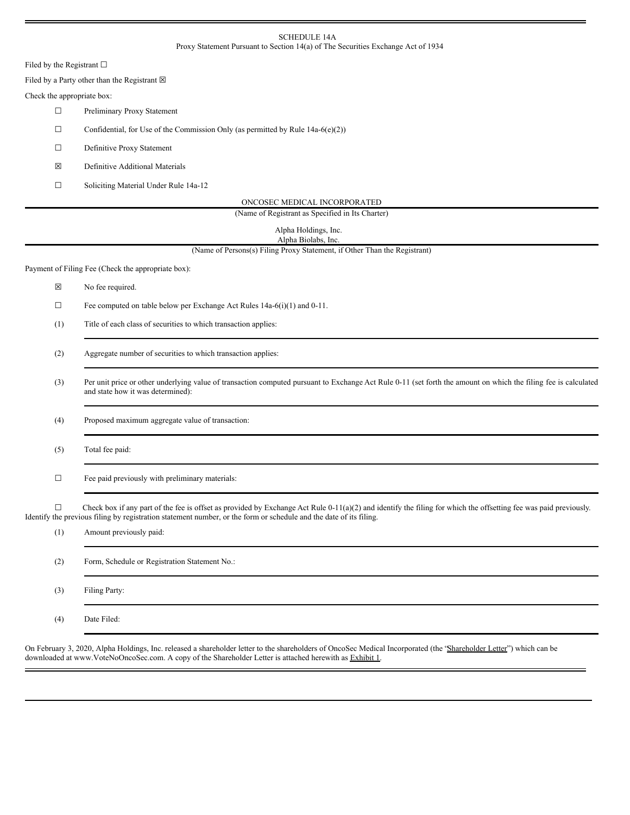#### SCHEDULE 14A Proxy Statement Pursuant to Section 14(a) of The Securities Exchange Act of 1934

Filed by the Registrant  $\square$ 

Filed by a Party other than the Registrant  $\boxtimes$ 

#### Check the appropriate box:

- ☐ Preliminary Proxy Statement
- $\Box$  Confidential, for Use of the Commission Only (as permitted by Rule 14a-6(e)(2))
- ☐ Definitive Proxy Statement
- ☒ Definitive Additional Materials
- ☐ Soliciting Material Under Rule 14a-12

| ONCOSEC MEDICAL INCORPORATED |
|------------------------------|
|------------------------------|

(Name of Registrant as Specified in Its Charter)

| Alpha Holdings, Inc. |
|----------------------|
| Alpha Biolabs, Inc.  |

(Name of Persons(s) Filing Proxy Statement, if Other Than the Registrant)

Payment of Filing Fee (Check the appropriate box):

- ☒ No fee required.
- ☐ Fee computed on table below per Exchange Act Rules 14a-6(i)(1) and 0-11.
- (1) Title of each class of securities to which transaction applies:
- (2) Aggregate number of securities to which transaction applies:
- (3) Per unit price or other underlying value of transaction computed pursuant to Exchange Act Rule 0-11 (set forth the amount on which the filing fee is calculated and state how it was determined):
- (4) Proposed maximum aggregate value of transaction:
- (5) Total fee paid:

☐ Fee paid previously with preliminary materials:

 $\Box$  Check box if any part of the fee is offset as provided by Exchange Act Rule 0-11(a)(2) and identify the filing for which the offsetting fee was paid previously. Identify the previous filing by registration statement number, or the form or schedule and the date of its filing.

| (1) | Amount previously paid:                       |
|-----|-----------------------------------------------|
| (2) | Form, Schedule or Registration Statement No.: |
| (3) | Filing Party:                                 |
| (4) | Date Filed:                                   |

On February 3, 2020, Alpha Holdings, Inc. released a shareholder letter to the shareholders of OncoSec Medical Incorporated (the 'Shareholder Letter") which can be downloaded at www.VoteNoOncoSec.com. A copy of the Shareholder Letter is attached herewith as Exhibit 1.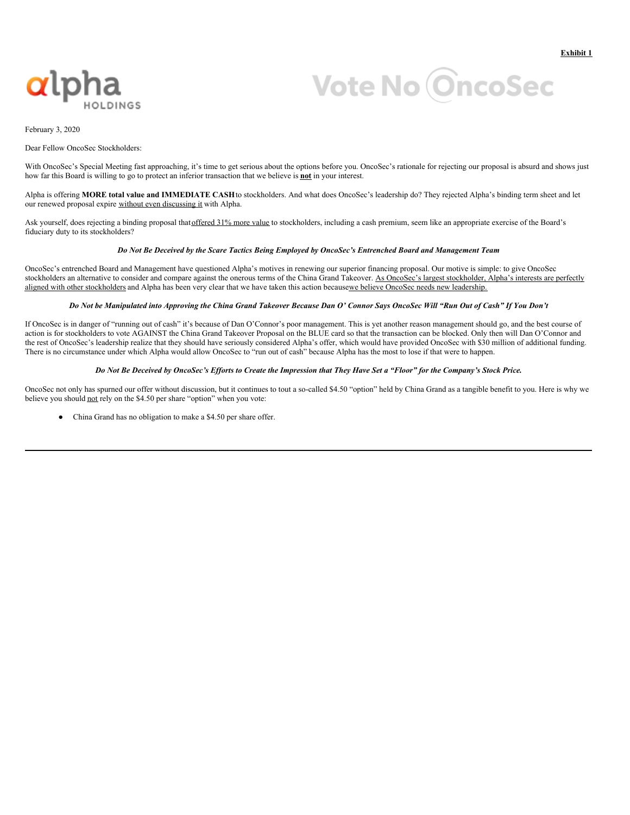



# **Vote No OncoSec**

February 3, 2020

Dear Fellow OncoSec Stockholders:

With OncoSec's Special Meeting fast approaching, it's time to get serious about the options before you. OncoSec's rationale for rejecting our proposal is absurd and shows just how far this Board is willing to go to protect an inferior transaction that we believe is **not** in your interest.

Alpha is offering **MORE total value and IMMEDIATE CASH**to stockholders. And what does OncoSec's leadership do? They rejected Alpha's binding term sheet and let our renewed proposal expire without even discussing it with Alpha.

Ask yourself, does rejecting a binding proposal that offered 31% more value to stockholders, including a cash premium, seem like an appropriate exercise of the Board's fiduciary duty to its stockholders?

#### *Do Not Be Deceived by the Scare Tactics Being Employed by OncoSec's Entrenched Board and Management Team*

OncoSec's entrenched Board and Management have questioned Alpha's motives in renewing our superior financing proposal. Our motive is simple: to give OncoSec stockholders an alternative to consider and compare against the onerous terms of the China Grand Takeover. As OncoSec's largest stockholder, Alpha's interests are perfectly aligned with other stockholders and Alpha has been very clear that we have taken this action becausewe believe OncoSec needs new leadership.

#### Do Not be Manipulated into Approving the China Grand Takeover Because Dan O' Connor Says OncoSec Will "Run Out of Cash" If You Don't

If OncoSec is in danger of "running out of cash" it's because of Dan O'Connor's poor management. This is yet another reason management should go, and the best course of action is for stockholders to vote AGAINST the China Grand Takeover Proposal on the BLUE card so that the transaction can be blocked. Only then will Dan O'Connor and the rest of OncoSec's leadership realize that they should have seriously considered Alpha's offer, which would have provided OncoSec with \$30 million of additional funding. There is no circumstance under which Alpha would allow OncoSec to "run out of cash" because Alpha has the most to lose if that were to happen.

#### Do Not Be Deceived by OncoSec's Efforts to Create the Impression that They Have Set a "Floor" for the Company's Stock Price.

OncoSec not only has spurned our offer without discussion, but it continues to tout a so-called \$4.50 "option" held by China Grand as a tangible benefit to you. Here is why we believe you should not rely on the \$4.50 per share "option" when you vote:

● China Grand has no obligation to make a \$4.50 per share offer.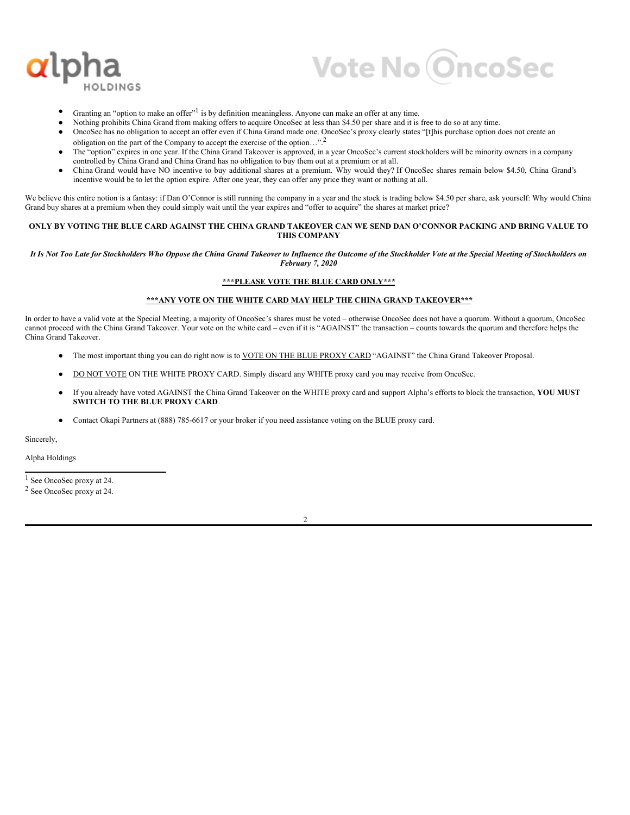

## **Vote No OncoSec**

- Granting an "option to make an offer" is by definition meaningless. Anyone can make an offer at any time.
- Nothing prohibits China Grand from making offers to acquire OncoSec at less than \$4.50 per share and it is free to do so at any time.
- OncoSec has no obligation to accept an offer even if China Grand made one. OncoSec's proxy clearly states "[t]his purchase option does not create an obligation on the part of the Company to accept the exercise of the option...".<sup>2</sup>
- The "option" expires in one year. If the China Grand Takeover is approved, in a year OncoSec's current stockholders will be minority owners in a company controlled by China Grand and China Grand has no obligation to buy them out at a premium or at all.
- China Grand would have NO incentive to buy additional shares at a premium. Why would they? If OncoSec shares remain below \$4.50, China Grand's incentive would be to let the option expire. After one year, they can offer any price they want or nothing at all.

We believe this entire notion is a fantasy: if Dan O'Connor is still running the company in a year and the stock is trading below \$4.50 per share, ask yourself: Why would China Grand buy shares at a premium when they could simply wait until the year expires and "offer to acquire" the shares at market price?

#### ONLY BY VOTING THE BLUE CARD AGAINST THE CHINA GRAND TAKEOVER CAN WE SEND DAN O'CONNOR PACKING AND BRING VALUE TO **THIS COMPANY**

It Is Not Too Late for Stockholders Who Oppose the China Grand Takeover to Influence the Outcome of the Stockholder Vote at the Special Meeting of Stockholders on *February 7, 2020*

#### **\*\*\*PLEASE VOTE THE BLUE CARD ONLY\*\*\***

#### **\*\*\*ANY VOTE ON THE WHITE CARD MAY HELP THE CHINA GRAND TAKEOVER\*\*\***

In order to have a valid vote at the Special Meeting, a majority of OncoSec's shares must be voted – otherwise OncoSec does not have a quorum. Without a quorum, OncoSec cannot proceed with the China Grand Takeover. Your vote on the white card – even if it is "AGAINST" the transaction – counts towards the quorum and therefore helps the China Grand Takeover.

- The most important thing you can do right now is to VOTE ON THE BLUE PROXY CARD "AGAINST" the China Grand Takeover Proposal.
- DO NOT VOTE ON THE WHITE PROXY CARD. Simply discard any WHITE proxy card you may receive from OncoSec.
- If you already have voted AGAINST the China Grand Takeover on the WHITE proxy card and support Alpha's efforts to block the transaction, **YOU MUST SWITCH TO THE BLUE PROXY CARD**.
- Contact Okapi Partners at (888) 785-6617 or your broker if you need assistance voting on the BLUE proxy card.

Sincerely,

Alpha Holdings

<sup>1</sup> See OncoSec proxy at 24. <sup>2</sup> See OncoSec proxy at 24.

 $\overline{2}$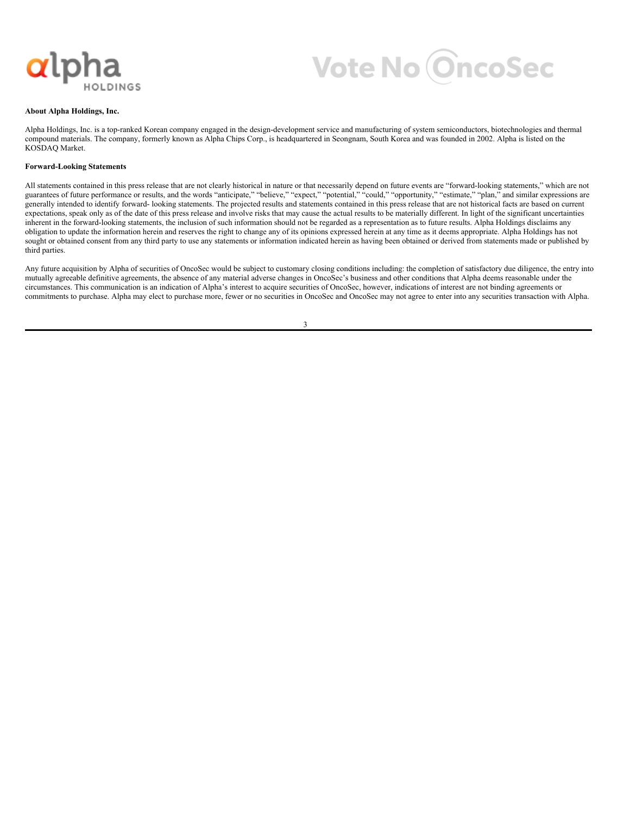### alpha **HOLDINGS**

### **Vote No OncoSec**

#### **About Alpha Holdings, Inc.**

Alpha Holdings, Inc. is a top-ranked Korean company engaged in the design-development service and manufacturing of system semiconductors, biotechnologies and thermal compound materials. The company, formerly known as Alpha Chips Corp., is headquartered in Seongnam, South Korea and was founded in 2002. Alpha is listed on the KOSDAQ Market.

#### **Forward-Looking Statements**

All statements contained in this press release that are not clearly historical in nature or that necessarily depend on future events are "forward-looking statements," which are not guarantees of future performance or results, and the words "anticipate," "believe," "expect," "potential," "could," "opportunity," "estimate," "plan," and similar expressions are generally intended to identify forward- looking statements. The projected results and statements contained in this press release that are not historical facts are based on current expectations, speak only as of the date of this press release and involve risks that may cause the actual results to be materially different. In light of the significant uncertainties inherent in the forward-looking statements, the inclusion of such information should not be regarded as a representation as to future results. Alpha Holdings disclaims any obligation to update the information herein and reserves the right to change any of its opinions expressed herein at any time as it deems appropriate. Alpha Holdings has not sought or obtained consent from any third party to use any statements or information indicated herein as having been obtained or derived from statements made or published by third parties.

Any future acquisition by Alpha of securities of OncoSec would be subject to customary closing conditions including: the completion of satisfactory due diligence, the entry into mutually agreeable definitive agreements, the absence of any material adverse changes in OncoSec's business and other conditions that Alpha deems reasonable under the circumstances. This communication is an indication of Alpha's interest to acquire securities of OncoSec, however, indications of interest are not binding agreements or commitments to purchase. Alpha may elect to purchase more, fewer or no securities in OncoSec and OncoSec may not agree to enter into any securities transaction with Alpha.